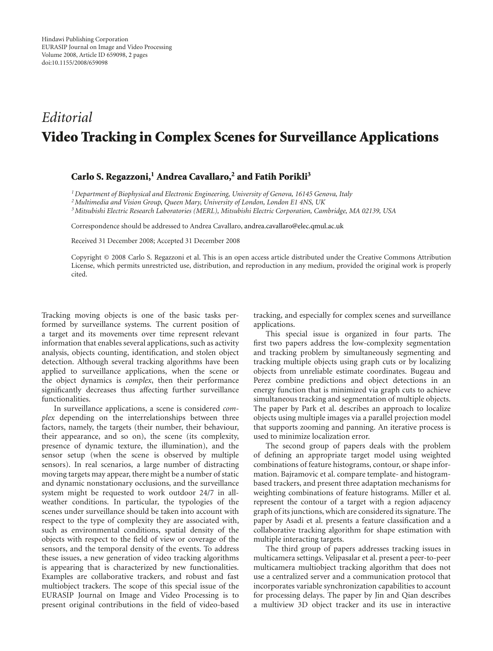## *Editorial* **Video Tracking in Complex Scenes for Surveillance Applications**

## **Carlo S. Regazzoni,1 Andrea Cavallaro,2 and Fatih Porikli3**

*1Department of Biophysical and Electronic Engineering, University of Genova, 16145 Genova, Italy*

*2Multimedia and Vision Group, Queen Mary, University of London, London E1 4NS, UK*

*3Mitsubishi Electric Research Laboratories (MERL), Mitsubishi Electric Corporation, Cambridge, MA 02139, USA*

Correspondence should be addressed to Andrea Cavallaro, andrea.cavallaro@elec.qmul.ac.uk

Received 31 December 2008; Accepted 31 December 2008

Copyright © 2008 Carlo S. Regazzoni et al. This is an open access article distributed under the Creative Commons Attribution License, which permits unrestricted use, distribution, and reproduction in any medium, provided the original work is properly cited.

Tracking moving objects is one of the basic tasks performed by surveillance systems. The current position of a target and its movements over time represent relevant information that enables several applications, such as activity analysis, objects counting, identification, and stolen object detection. Although several tracking algorithms have been applied to surveillance applications, when the scene or the object dynamics is *complex*, then their performance significantly decreases thus affecting further surveillance functionalities.

In surveillance applications, a scene is considered *complex* depending on the interrelationships between three factors, namely, the targets (their number, their behaviour, their appearance, and so on), the scene (its complexity, presence of dynamic texture, the illumination), and the sensor setup (when the scene is observed by multiple sensors). In real scenarios, a large number of distracting moving targets may appear, there might be a number of static and dynamic nonstationary occlusions, and the surveillance system might be requested to work outdoor 24/7 in allweather conditions. In particular, the typologies of the scenes under surveillance should be taken into account with respect to the type of complexity they are associated with, such as environmental conditions, spatial density of the objects with respect to the field of view or coverage of the sensors, and the temporal density of the events. To address these issues, a new generation of video tracking algorithms is appearing that is characterized by new functionalities. Examples are collaborative trackers, and robust and fast multiobject trackers. The scope of this special issue of the EURASIP Journal on Image and Video Processing is to present original contributions in the field of video-based

tracking, and especially for complex scenes and surveillance applications.

This special issue is organized in four parts. The first two papers address the low-complexity segmentation and tracking problem by simultaneously segmenting and tracking multiple objects using graph cuts or by localizing objects from unreliable estimate coordinates. Bugeau and Perez combine predictions and object detections in an energy function that is minimized via graph cuts to achieve simultaneous tracking and segmentation of multiple objects. The paper by Park et al. describes an approach to localize objects using multiple images via a parallel projection model that supports zooming and panning. An iterative process is used to minimize localization error.

The second group of papers deals with the problem of defining an appropriate target model using weighted combinations of feature histograms, contour, or shape information. Bajramovic et al. compare template- and histogrambased trackers, and present three adaptation mechanisms for weighting combinations of feature histograms. Miller et al. represent the contour of a target with a region adjacency graph of its junctions, which are considered its signature. The paper by Asadi et al. presents a feature classification and a collaborative tracking algorithm for shape estimation with multiple interacting targets.

The third group of papers addresses tracking issues in multicamera settings. Velipasalar et al. present a peer-to-peer multicamera multiobject tracking algorithm that does not use a centralized server and a communication protocol that incorporates variable synchronization capabilities to account for processing delays. The paper by Jin and Qian describes a multiview 3D object tracker and its use in interactive